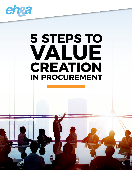

# **5 STEPS TO VALUE CREATION IN PROCUREMENT**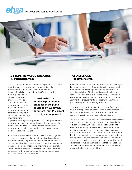## **CARA** TAKE YOUR BUSINESS TO NEW HEIGHTS



#### **5 STEPS TO VALUE CREATION IN PROCUREMENT**

The procurement function can be an important contributor to performance improvement in organisations that are subject to public-sector procurement rules, as is the case for civil aviation authorities (CAAs) as well as

most airports and air navigation services providers (ANSPs.) And, the potential for improvement is large. It is estimated that improved procurement practices in the public sector can yield savings anywhere from

**It is estimated that improved procurement practices in the public sector can yield savings anywhere from 15 percent to as high as 30 percent.**

15 percent to as high as 30 percent. And, while procurement improvements may not always be easy to implement, they are easier and quicker to introduce than other budget improvements, such as a reduction in headcount or an increase in service charges.

In this sense, procurement is an area where the management can exercise a great deal more latitude in driving change and improvement. Importantly, it can free up money that can be spent in other priority areas. Further, improvements in the procurement function will allow managers to make better decisions and plan more effectively, ensure better compliance with regulations and the tendering process, and prevent fraud and maleficence.

#### **CHALLENGES TO OVERCOME**

While the benefits are clear, there are several challenges that must be overcome. Organizations that do not treat procurement as a strategic function generally lack a consolidated view of their spending due to a lack of centralised oversight. It is therefore difficult to envision the potential benefits that can be realised from a better alignment of procurement practices with the strategic goals and objectives of the organization.

In the public sector, there are often trade-offs made with various other political objectives, where procurement decisions are made to support the local or regional economy, industry or even a specific company.

The public sector is also subject to complex and constraining procurement rules as set out by governments and other relevant authorities, such as the European Union and the World Trade Organization, which were established to ensure openness, fairness and non-discriminatory practices for all bidders. Such tender rules can constrain the ability of a public-sector procurement organization to leverage the tools and practices that are available to the private-sector and, consequently, its ability to claim similar efficiencies. However, there are steps that organizations can take to improve their procurement practices without running afoul of procurement laws.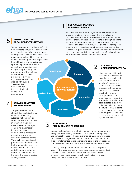## **STRENGTHEN THE** 5 **PROCUREMENT FUNCTION**

To lead a centrally coordinated effort, it is best to create a multi-disciplinary team of change leaders who can introduce and replicate successful initiatives, train employees and build the necessary capabilities throughout the organization. Formal training programs in areas specific to procurement, such as contract negotiation and category expertise (e.g. the procurement of IT solutions and services), as well as programs to develop organizational skills can also be introduced. The objective here is to build the organizational capability in procurement.

### **ENGAGE RELEVANT<br>STAKEHOLDERS**

The procurement team should also establish formal channels and binding rules for stakeholders to submit requests and access information, which will make it easier to manage competing stakeholder interests. A transparent and defensible process for evaluating requests will always be easier to defend. The challenge in defining the process is to adopt the same tools and practices as those used in the private sector and still operate a rigorous tender process within the framework of relevant rules and regulations.

### **SET A CLEAR MANDATE**<br>**FOR PROCUREMENT**

Procurement needs to be regarded as a strategic value creating function. The realisation that more efficient procurement can free up resources that can be reallocated to other priority areas should be incentive enough for change in current procurement rules and management practices. However, this change will require vision and leadership, and advocacy with the relevant policy-makers and authorities. It will also require continuous improvement in the procurement processes that needs to be supported by a feedback loop from internal customers and end consumers.



## **CREATE A** 2 **COMPREHENSIVE VIEW**

Managers should introduce a system that will be able to gather and track cost and other data from a variety of sources and allocate these to the key procurement categories that are to be created. Initially, this should be approached in a pragmatic way rather than attempting to implement a sophisticated system, the objective being to create a picture of what is going on in all categories prior to capturing any savings that an improved procurement system can realise.

## **STREAMLINE** 3 **PROCUREMENT PROCESSES**

Managers should design strategies for each of the procurement categories, considering elements such as product complexity and competitiveness of the supplier market. Supplier workshops should be encouraged and can be conducted within the tender rules, if implemented at the appropriate point in the process and in adherence to the principle of equal treatment of all suppliers.

Selecting the right procurement channel ensures an optimal trade-off between the resources needed to procure the product, its quality, and its price. Functional tenders, as opposed to technical specifications, are typically best suited for product categories that are technically complex.